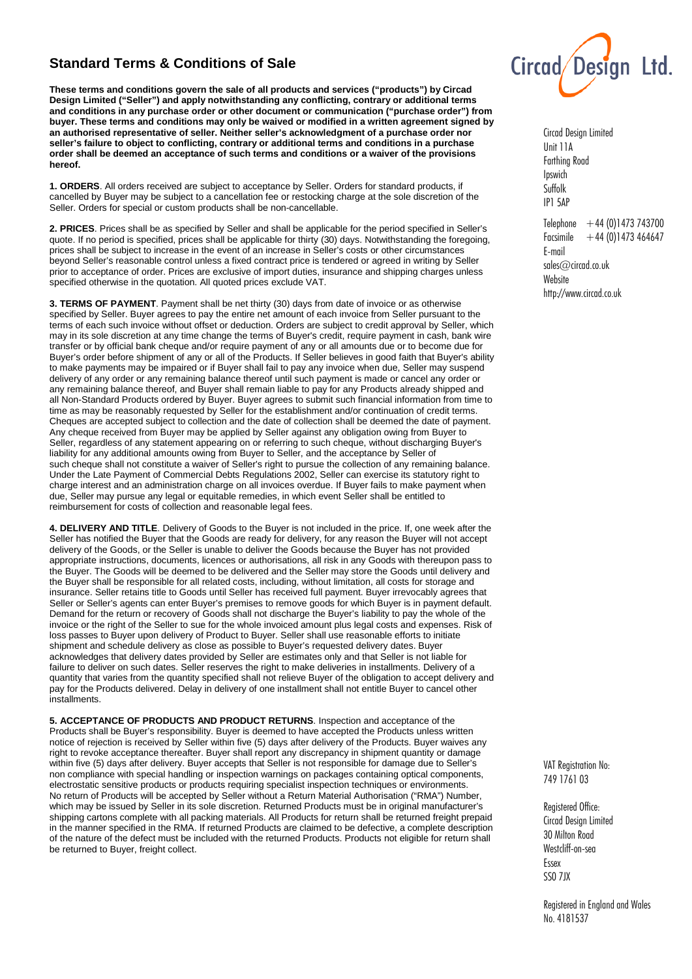## **Standard Terms & Conditions of Sale**

**These terms and conditions govern the sale of all products and services ("products") by Circad Design Limited ("Seller") and apply notwithstanding any conflicting, contrary or additional terms and conditions in any purchase order or other document or communication ("purchase order") from buyer. These terms and conditions may only be waived or modified in a written agreement signed by an authorised representative of seller. Neither seller's acknowledgment of a purchase order nor seller's failure to object to conflicting, contrary or additional terms and conditions in a purchase order shall be deemed an acceptance of such terms and conditions or a waiver of the provisions hereof.**

**1. ORDERS**. All orders received are subject to acceptance by Seller. Orders for standard products, if cancelled by Buyer may be subject to a cancellation fee or restocking charge at the sole discretion of the Seller. Orders for special or custom products shall be non-cancellable.

**2. PRICES**. Prices shall be as specified by Seller and shall be applicable for the period specified in Seller's quote. If no period is specified, prices shall be applicable for thirty (30) days. Notwithstanding the foregoing, prices shall be subject to increase in the event of an increase in Seller's costs or other circumstances beyond Seller's reasonable control unless a fixed contract price is tendered or agreed in writing by Seller prior to acceptance of order. Prices are exclusive of import duties, insurance and shipping charges unless specified otherwise in the quotation. All quoted prices exclude VAT.

**3. TERMS OF PAYMENT**. Payment shall be net thirty (30) days from date of invoice or as otherwise specified by Seller. Buyer agrees to pay the entire net amount of each invoice from Seller pursuant to the terms of each such invoice without offset or deduction. Orders are subject to credit approval by Seller, which may in its sole discretion at any time change the terms of Buyer's credit, require payment in cash, bank wire transfer or by official bank cheque and/or require payment of any or all amounts due or to become due for Buyer's order before shipment of any or all of the Products. If Seller believes in good faith that Buyer's ability to make payments may be impaired or if Buyer shall fail to pay any invoice when due, Seller may suspend delivery of any order or any remaining balance thereof until such payment is made or cancel any order or any remaining balance thereof, and Buyer shall remain liable to pay for any Products already shipped and all Non-Standard Products ordered by Buyer. Buyer agrees to submit such financial information from time to time as may be reasonably requested by Seller for the establishment and/or continuation of credit terms. Cheques are accepted subject to collection and the date of collection shall be deemed the date of payment. Any cheque received from Buyer may be applied by Seller against any obligation owing from Buyer to Seller, regardless of any statement appearing on or referring to such cheque, without discharging Buyer's liability for any additional amounts owing from Buyer to Seller, and the acceptance by Seller of such cheque shall not constitute a waiver of Seller's right to pursue the collection of any remaining balance. Under the Late Payment of Commercial Debts Regulations 2002, Seller can exercise its statutory right to charge interest and an administration charge on all invoices overdue. If Buyer fails to make payment when due, Seller may pursue any legal or equitable remedies, in which event Seller shall be entitled to reimbursement for costs of collection and reasonable legal fees.

**4. DELIVERY AND TITLE**. Delivery of Goods to the Buyer is not included in the price. If, one week after the Seller has notified the Buyer that the Goods are ready for delivery, for any reason the Buyer will not accept delivery of the Goods, or the Seller is unable to deliver the Goods because the Buyer has not provided appropriate instructions, documents, licences or authorisations, all risk in any Goods with thereupon pass to the Buyer. The Goods will be deemed to be delivered and the Seller may store the Goods until delivery and the Buyer shall be responsible for all related costs, including, without limitation, all costs for storage and insurance. Seller retains title to Goods until Seller has received full payment. Buyer irrevocably agrees that Seller or Seller's agents can enter Buyer's premises to remove goods for which Buyer is in payment default. Demand for the return or recovery of Goods shall not discharge the Buyer's liability to pay the whole of the invoice or the right of the Seller to sue for the whole invoiced amount plus legal costs and expenses. Risk of loss passes to Buyer upon delivery of Product to Buyer. Seller shall use reasonable efforts to initiate shipment and schedule delivery as close as possible to Buyer's requested delivery dates. Buyer acknowledges that delivery dates provided by Seller are estimates only and that Seller is not liable for failure to deliver on such dates. Seller reserves the right to make deliveries in installments. Delivery of a quantity that varies from the quantity specified shall not relieve Buyer of the obligation to accept delivery and pay for the Products delivered. Delay in delivery of one installment shall not entitle Buyer to cancel other installments.

**5. ACCEPTANCE OF PRODUCTS AND PRODUCT RETURNS**. Inspection and acceptance of the Products shall be Buyer's responsibility. Buyer is deemed to have accepted the Products unless written notice of rejection is received by Seller within five (5) days after delivery of the Products. Buyer waives any right to revoke acceptance thereafter. Buyer shall report any discrepancy in shipment quantity or damage within five (5) days after delivery. Buyer accepts that Seller is not responsible for damage due to Seller's non compliance with special handling or inspection warnings on packages containing optical components, electrostatic sensitive products or products requiring specialist inspection techniques or environments. No return of Products will be accepted by Seller without a Return Material Authorisation ("RMA") Number, which may be issued by Seller in its sole discretion. Returned Products must be in original manufacturer's shipping cartons complete with all packing materials. All Products for return shall be returned freight prepaid in the manner specified in the RMA. If returned Products are claimed to be defective, a complete description of the nature of the defect must be included with the returned Products. Products not eligible for return shall be returned to Buyer, freight collect.



Circad Design Limited Unit 11A Farthing Road Ipswich Suffolk IP1 5AP

Telephone  $+44 (0)1473 743700$ Facsimile  $+44(0)1473464647$ E-mail sales@circad.co.uk **Website** http://www.circad.co.uk

VAT Registration No: 749 1761 03

Registered Office: Circad Design Limited 30 Milton Road Westcliff-on-sea Essex SS0 7JX

Registered in England and Wales No. 4181537